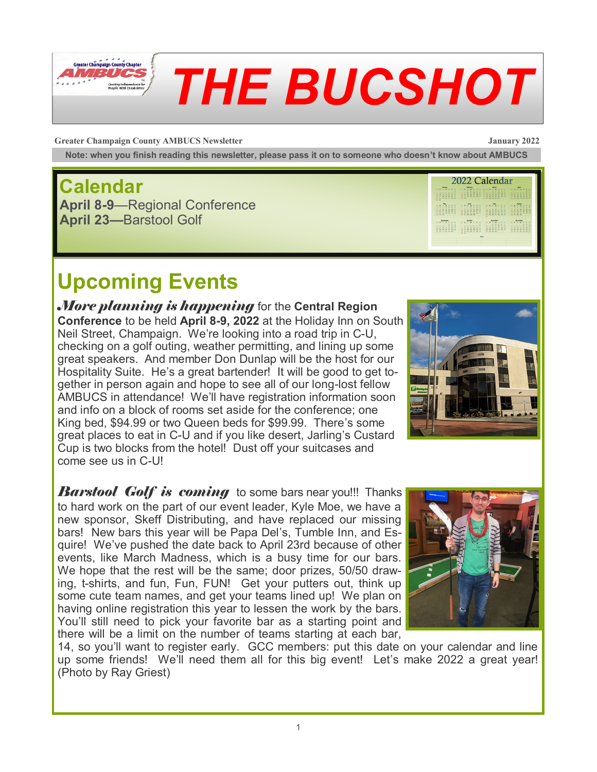

# *THE BUCSHOT*

**Greater Champaign County AMBUCS Newsletter January 2022**

**Note: when you finish reading this newsletter, please pass it on to someone who doesn't know about AMBUCS**

#### **Calendar**

**April 8-9**—Regional Conference **April 23—**Barstool Golf

#### 2022 Calendar **ANTIFICATION IN STATISTICS HOW HOW HOW HOW Find With Hitle With**

## **Upcoming Events**

*More planning is happening* for the **Central Region Conference** to be held **April 8-9, 2022** at the Holiday Inn on South Neil Street, Champaign. We're looking into a road trip in C-U, checking on a golf outing, weather permitting, and lining up some great speakers. And member Don Dunlap will be the host for our Hospitality Suite. He's a great bartender! It will be good to get together in person again and hope to see all of our long-lost fellow AMBUCS in attendance! We'll have registration information soon and info on a block of rooms set aside for the conference; one King bed, \$94.99 or two Queen beds for \$99.99. There's some great places to eat in C-U and if you like desert, Jarling's Custard Cup is two blocks from the hotel! Dust off your suitcases and come see us in C-U!



*Barstool Golf is coming* to some bars near you!!! Thanks to hard work on the part of our event leader, Kyle Moe, we have a new sponsor, Skeff Distributing, and have replaced our missing bars! New bars this year will be Papa Del's, Tumble Inn, and Esquire! We've pushed the date back to April 23rd because of other events, like March Madness, which is a busy time for our bars. We hope that the rest will be the same; door prizes, 50/50 drawing, t-shirts, and fun, Fun, FUN! Get your putters out, think up some cute team names, and get your teams lined up! We plan on having online registration this year to lessen the work by the bars. You'll still need to pick your favorite bar as a starting point and there will be a limit on the number of teams starting at each bar,



14, so you'll want to register early. GCC members: put this date on your calendar and line up some friends! We'll need them all for this big event! Let's make 2022 a great year! (Photo by Ray Griest)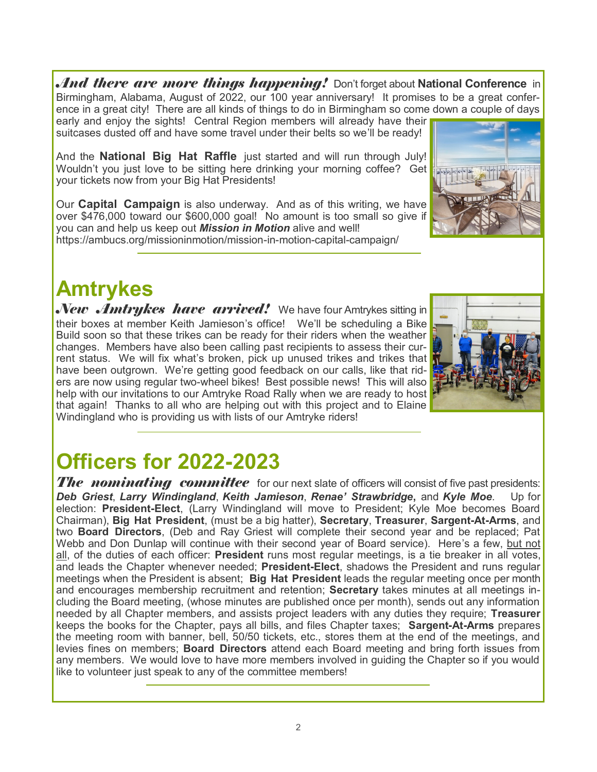*And there are more things happening!* Don't forget about **National Conference** in Birmingham, Alabama, August of 2022, our 100 year anniversary! It promises to be a great conference in a great city! There are all kinds of things to do in Birmingham so come down a couple of days early and enjoy the sights! Central Region members will already have their

suitcases dusted off and have some travel under their belts so we'll be ready!

And the **National Big Hat Raffle** just started and will run through July! Wouldn't you just love to be sitting here drinking your morning coffee? Get your tickets now from your Big Hat Presidents!

Our **Capital Campaign** is also underway. And as of this writing, we have over \$476,000 toward our \$600,000 goal! No amount is too small so give if you can and help us keep out *Mission in Motion* alive and well! https://ambucs.org/missioninmotion/mission-in-motion-capital-campaign/



### **Amtrykes**

*New Amtrykes have arrived!* We have four Amtrykes sitting in their boxes at member Keith Jamieson's office! We'll be scheduling a Bike Build soon so that these trikes can be ready for their riders when the weather changes. Members have also been calling past recipients to assess their current status. We will fix what's broken, pick up unused trikes and trikes that have been outgrown. We're getting good feedback on our calls, like that riders are now using regular two-wheel bikes! Best possible news! This will also help with our invitations to our Amtryke Road Rally when we are ready to host that again! Thanks to all who are helping out with this project and to Elaine Windingland who is providing us with lists of our Amtryke riders!



#### **Officers for 2022-2023**

*The nominating committee* for our next slate of officers will consist of five past presidents: *Deb Griest*, *Larry Windingland*, *Keith Jamieson*, *Renae' Strawbridge***,** and *Kyle Moe*. Up for election: **President-Elect**, (Larry Windingland will move to President; Kyle Moe becomes Board Chairman), **Big Hat President**, (must be a big hatter), **Secretary**, **Treasurer**, **Sargent-At-Arms**, and two **Board Directors**, (Deb and Ray Griest will complete their second year and be replaced; Pat Webb and Don Dunlap will continue with their second year of Board service). Here's a few, but not all, of the duties of each officer: **President** runs most regular meetings, is a tie breaker in all votes, and leads the Chapter whenever needed; **President-Elect**, shadows the President and runs regular meetings when the President is absent; **Big Hat President** leads the regular meeting once per month and encourages membership recruitment and retention; **Secretary** takes minutes at all meetings including the Board meeting, (whose minutes are published once per month), sends out any information needed by all Chapter members, and assists project leaders with any duties they require; **Treasurer**  keeps the books for the Chapter, pays all bills, and files Chapter taxes; **Sargent-At-Arms** prepares the meeting room with banner, bell, 50/50 tickets, etc., stores them at the end of the meetings, and levies fines on members; **Board Directors** attend each Board meeting and bring forth issues from any members. We would love to have more members involved in guiding the Chapter so if you would like to volunteer just speak to any of the committee members!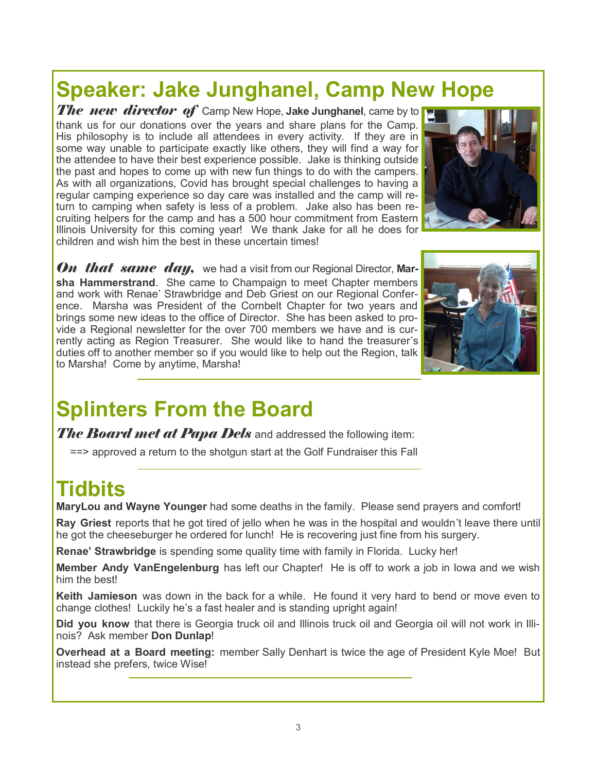#### **Speaker: Jake Junghanel, Camp New Hope**

*The new director of* Camp New Hope, **Jake Junghanel**, came by to thank us for our donations over the years and share plans for the Camp. His philosophy is to include all attendees in every activity. If they are in some way unable to participate exactly like others, they will find a way for the attendee to have their best experience possible. Jake is thinking outside the past and hopes to come up with new fun things to do with the campers. As with all organizations, Covid has brought special challenges to having a regular camping experience so day care was installed and the camp will return to camping when safety is less of a problem. Jake also has been recruiting helpers for the camp and has a 500 hour commitment from Eastern Illinois University for this coming year! We thank Jake for all he does for children and wish him the best in these uncertain times!



*On that same day*, we had a visit from our Regional Director, Mar**sha Hammerstrand**. She came to Champaign to meet Chapter members and work with Renae' Strawbridge and Deb Griest on our Regional Conference. Marsha was President of the Cornbelt Chapter for two years and brings some new ideas to the office of Director. She has been asked to provide a Regional newsletter for the over 700 members we have and is currently acting as Region Treasurer. She would like to hand the treasurer's duties off to another member so if you would like to help out the Region, talk to Marsha! Come by anytime, Marsha!



### **Splinters From the Board**

*The Board met at Papa Dels* and addressed the following item:

==> approved a return to the shotgun start at the Golf Fundraiser this Fall

#### **Tidbits**

**MaryLou and Wayne Younger** had some deaths in the family. Please send prayers and comfort!

**Ray Griest** reports that he got tired of jello when he was in the hospital and wouldn't leave there until he got the cheeseburger he ordered for lunch! He is recovering just fine from his surgery.

**Renae' Strawbridge** is spending some quality time with family in Florida. Lucky her!

**Member Andy VanEngelenburg** has left our Chapter! He is off to work a job in Iowa and we wish him the best!

**Keith Jamieson** was down in the back for a while. He found it very hard to bend or move even to change clothes! Luckily he's a fast healer and is standing upright again!

**Did you know** that there is Georgia truck oil and Illinois truck oil and Georgia oil will not work in Illinois? Ask member **Don Dunlap**!

**Overhead at a Board meeting:** member Sally Denhart is twice the age of President Kyle Moe! But instead she prefers, twice Wise!